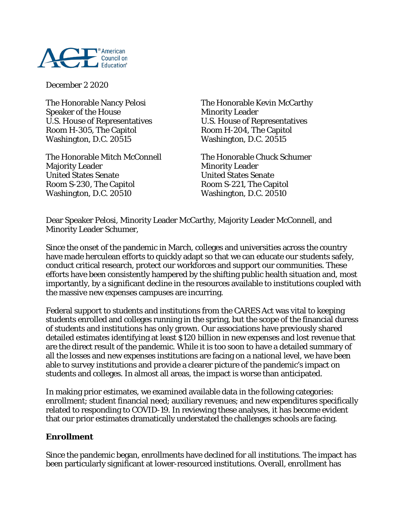

December 2 2020

Speaker of the House Minority Leader U.S. House of Representatives U.S. House of Representatives Room H-305, The Capitol Room H-204, The Capitol Washington, D.C. 20515 Washington, D.C. 20515

The Honorable Mitch McConnell The Honorable Chuck Schumer Majority Leader **Minority Leader** United States Senate United States Senate Room S-230, The Capitol Room S-221, The Capitol Washington, D.C. 20510 Washington, D.C. 20510

The Honorable Nancy Pelosi The Honorable Kevin McCarthy

Dear Speaker Pelosi, Minority Leader McCarthy, Majority Leader McConnell, and Minority Leader Schumer,

Since the onset of the pandemic in March, colleges and universities across the country have made herculean efforts to quickly adapt so that we can educate our students safely, conduct critical research, protect our workforces and support our communities. These efforts have been consistently hampered by the shifting public health situation and, most importantly, by a significant decline in the resources available to institutions coupled with the massive new expenses campuses are incurring.

Federal support to students and institutions from the CARES Act was vital to keeping students enrolled and colleges running in the spring, but the scope of the financial duress of students and institutions has only grown. Our associations have previously shared detailed estimates identifying at least \$120 billion in new expenses and lost revenue that are the direct result of the pandemic. While it is too soon to have a detailed summary of all the losses and new expenses institutions are facing on a national level, we have been able to survey institutions and provide a clearer picture of the pandemic's impact on students and colleges. In almost all areas, the impact is worse than anticipated.

In making prior estimates, we examined available data in the following categories: enrollment; student financial need; auxiliary revenues; and new expenditures specifically related to responding to COVID-19. In reviewing these analyses, it has become evident that our prior estimates dramatically understated the challenges schools are facing.

#### **Enrollment**

Since the pandemic began, enrollments have declined for all institutions. The impact has been particularly significant at lower-resourced institutions. Overall, enrollment has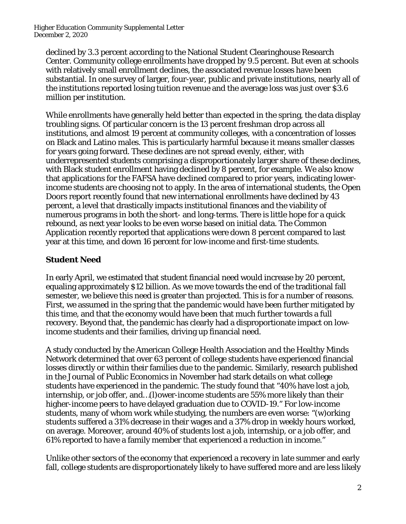declined by 3.3 percent according to the National Student Clearinghouse Research Center. Community college enrollments have dropped by 9.5 percent. But even at schools with relatively small enrollment declines, the associated revenue losses have been substantial. In one survey of larger, four-year, public and private institutions, nearly all of the institutions reported losing tuition revenue and the average loss was just over \$3.6 million per institution.

While enrollments have generally held better than expected in the spring, the data display troubling signs. Of particular concern is the 13 percent freshman drop across all institutions, and almost 19 percent at community colleges, with a concentration of losses on Black and Latino males. This is particularly harmful because it means smaller classes for years going forward. These declines are not spread evenly, either, with underrepresented students comprising a disproportionately larger share of these declines, with Black student enrollment having declined by 8 percent, for example. We also know that applications for the FAFSA have declined compared to prior years, indicating lowerincome students are choosing not to apply. In the area of international students, the Open Doors report recently found that new international enrollments have declined by 43 percent, a level that drastically impacts institutional finances and the viability of numerous programs in both the short- and long-terms. There is little hope for a quick rebound, as next year looks to be even worse based on initial data. The Common Application recently reported that applications were down 8 percent compared to last year at this time, and down 16 percent for low-income and first-time students.

### **Student Need**

In early April, we estimated that student financial need would increase by 20 percent, equaling approximately \$12 billion. As we move towards the end of the traditional fall semester, we believe this need is greater than projected. This is for a number of reasons. First, we assumed in the spring that the pandemic would have been further mitigated by this time, and that the economy would have been that much further towards a full recovery. Beyond that, the pandemic has clearly had a disproportionate impact on lowincome students and their families, driving up financial need.

A study conducted by the American College Health Association and the Healthy Minds Network determined that over 63 percent of college students have experienced financial losses directly or within their families due to the pandemic. Similarly, research published in the Journal of Public Economics in November had stark details on what college students have experienced in the pandemic. The study found that "40% have lost a job, internship, or job offer, and…(l)ower-income students are 55% more likely than their higher-income peers to have delayed graduation due to COVID-19." For low-income students, many of whom work while studying, the numbers are even worse: "(w)orking students suffered a 31% decrease in their wages and a 37% drop in weekly hours worked, on average. Moreover, around 40% of students lost a job, internship, or a job offer, and 61% reported to have a family member that experienced a reduction in income."

Unlike other sectors of the economy that experienced a recovery in late summer and early fall, college students are disproportionately likely to have suffered more and are less likely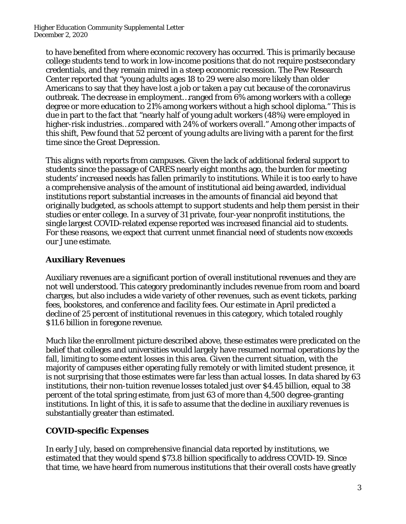to have benefited from where economic recovery has occurred. This is primarily because college students tend to work in low-income positions that do not require postsecondary credentials, and they remain mired in a steep economic recession. The Pew Research Center reported that "young adults ages 18 to 29 were also more likely than older Americans to say that they have lost a job or taken a pay cut because of the coronavirus outbreak. The decrease in employment…ranged from 6% among workers with a college degree or more education to 21% among workers without a high school diploma." This is due in part to the fact that "nearly half of young adult workers (48%) were employed in higher-risk industries…compared with 24% of workers overall." Among other impacts of this shift, Pew found that 52 percent of young adults are living with a parent for the first time since the Great Depression.

This aligns with reports from campuses. Given the lack of additional federal support to students since the passage of CARES nearly eight months ago, the burden for meeting students' increased needs has fallen primarily to institutions. While it is too early to have a comprehensive analysis of the amount of institutional aid being awarded, individual institutions report substantial increases in the amounts of financial aid beyond that originally budgeted, as schools attempt to support students and help them persist in their studies or enter college. In a survey of 31 private, four-year nonprofit institutions, the single largest COVID-related expense reported was increased financial aid to students. For these reasons, we expect that current unmet financial need of students now exceeds our June estimate.

## **Auxiliary Revenues**

Auxiliary revenues are a significant portion of overall institutional revenues and they are not well understood. This category predominantly includes revenue from room and board charges, but also includes a wide variety of other revenues, such as event tickets, parking fees, bookstores, and conference and facility fees. Our estimate in April predicted a decline of 25 percent of institutional revenues in this category, which totaled roughly \$11.6 billion in foregone revenue.

Much like the enrollment picture described above, these estimates were predicated on the belief that colleges and universities would largely have resumed normal operations by the fall, limiting to some extent losses in this area. Given the current situation, with the majority of campuses either operating fully remotely or with limited student presence, it is not surprising that those estimates were far less than actual losses. In data shared by 63 institutions, their non-tuition revenue losses totaled just over \$4.45 billion, equal to 38 percent of the total spring estimate, from just 63 of more than 4,500 degree-granting institutions. In light of this, it is safe to assume that the decline in auxiliary revenues is substantially greater than estimated.

# **COVID-specific Expenses**

In early July, based on comprehensive financial data reported by institutions, we estimated that they would spend \$73.8 billion specifically to address COVID-19. Since that time, we have heard from numerous institutions that their overall costs have greatly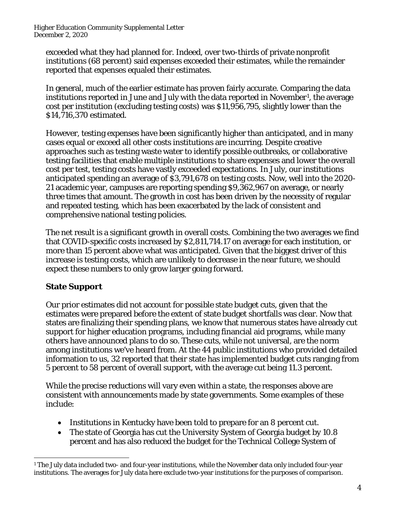exceeded what they had planned for. Indeed, over two-thirds of private nonprofit institutions (68 percent) said expenses exceeded their estimates, while the remainder reported that expenses equaled their estimates.

In general, much of the earlier estimate has proven fairly accurate. Comparing the data institutions reported in June and July with the data reported in November<sup>[1](#page-3-0)</sup>, the average cost per institution (excluding testing costs) was \$11,956,795, slightly lower than the \$14,716,370 estimated.

However, testing expenses have been significantly higher than anticipated, and in many cases equal or exceed all other costs institutions are incurring. Despite creative approaches such as testing waste water to identify possible outbreaks, or collaborative testing facilities that enable multiple institutions to share expenses and lower the overall cost per test, testing costs have vastly exceeded expectations. In July, our institutions anticipated spending an average of \$3,791,678 on testing costs. Now, well into the 2020- 21 academic year, campuses are reporting spending \$9,362,967 on average, or nearly three times that amount. The growth in cost has been driven by the necessity of regular and repeated testing, which has been exacerbated by the lack of consistent and comprehensive national testing policies.

The net result is a significant growth in overall costs. Combining the two averages we find that COVID-specific costs increased by \$2,811,714.17 on average for each institution, or more than 15 percent above what was anticipated. Given that the biggest driver of this increase is testing costs, which are unlikely to decrease in the near future, we should expect these numbers to only grow larger going forward.

#### **State Support**

Our prior estimates did not account for possible state budget cuts, given that the estimates were prepared before the extent of state budget shortfalls was clear. Now that states are finalizing their spending plans, we know that numerous states have already cut support for higher education programs, including financial aid programs, while many others have announced plans to do so. These cuts, while not universal, are the norm among institutions we've heard from. At the 44 public institutions who provided detailed information to us, 32 reported that their state has implemented budget cuts ranging from 5 percent to 58 percent of overall support, with the average cut being 11.3 percent.

While the precise reductions will vary even within a state, the responses above are consistent with announcements made by state governments. Some examples of these include:

- Institutions in Kentucky have been told to prepare for an 8 percent cut.
- The state of Georgia has cut the University System of Georgia budget by 10.8 percent and has also reduced the budget for the Technical College System of

<span id="page-3-0"></span><sup>&</sup>lt;sup>1</sup> The July data included two- and four-year institutions, while the November data only included four-year institutions. The averages for July data here exclude two-year institutions for the purposes of comparison.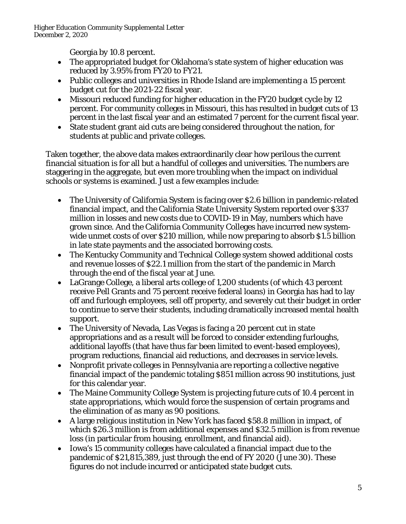Georgia by 10.8 percent.

- The appropriated budget for Oklahoma's state system of higher education was reduced by 3.95% from FY20 to FY21.
- Public colleges and universities in Rhode Island are implementing a 15 percent budget cut for the 2021-22 fiscal year.
- Missouri reduced funding for higher education in the FY20 budget cycle by 12 percent. For community colleges in Missouri, this has resulted in budget cuts of 13 percent in the last fiscal year and an estimated 7 percent for the current fiscal year.
- State student grant aid cuts are being considered throughout the nation, for students at public and private colleges.

Taken together, the above data makes extraordinarily clear how perilous the current financial situation is for all but a handful of colleges and universities. The numbers are staggering in the aggregate, but even more troubling when the impact on individual schools or systems is examined. Just a few examples include:

- The University of California System is facing over \$2.6 billion in pandemic-related financial impact, and the California State University System reported over \$337 million in losses and new costs due to COVID-19 in May, numbers which have grown since. And the California Community Colleges have incurred new systemwide unmet costs of over \$210 million, while now preparing to absorb \$1.5 billion in late state payments and the associated borrowing costs.
- The Kentucky Community and Technical College system showed additional costs and revenue losses of \$22.1 million from the start of the pandemic in March through the end of the fiscal year at June.
- LaGrange College, a liberal arts college of 1,200 students (of which 43 percent receive Pell Grants and 75 percent receive federal loans) in Georgia has had to lay off and furlough employees, sell off property, and severely cut their budget in order to continue to serve their students, including dramatically increased mental health support.
- The University of Nevada, Las Vegas is facing a 20 percent cut in state appropriations and as a result will be forced to consider extending furloughs, additional layoffs (that have thus far been limited to event-based employees), program reductions, financial aid reductions, and decreases in service levels.
- Nonprofit private colleges in Pennsylvania are reporting a collective negative financial impact of the pandemic totaling \$851 million across 90 institutions, just for this calendar year.
- The Maine Community College System is projecting future cuts of 10.4 percent in state appropriations, which would force the suspension of certain programs and the elimination of as many as 90 positions.
- A large religious institution in New York has faced \$58.8 million in impact, of which \$26.3 million is from additional expenses and \$32.5 million is from revenue loss (in particular from housing, enrollment, and financial aid).
- Iowa's 15 community colleges have calculated a financial impact due to the pandemic of \$21,815,389, just through the end of FY 2020 (June 30). These figures do not include incurred or anticipated state budget cuts.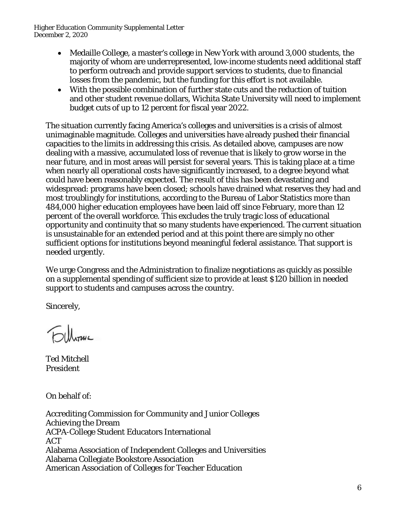- Medaille College, a master's college in New York with around 3,000 students, the majority of whom are underrepresented, low-income students need additional staff to perform outreach and provide support services to students, due to financial losses from the pandemic, but the funding for this effort is not available.
- With the possible combination of further state cuts and the reduction of tuition and other student revenue dollars, Wichita State University will need to implement budget cuts of up to 12 percent for fiscal year 2022.

The situation currently facing America's colleges and universities is a crisis of almost unimaginable magnitude. Colleges and universities have already pushed their financial capacities to the limits in addressing this crisis. As detailed above, campuses are now dealing with a massive, accumulated loss of revenue that is likely to grow worse in the near future, and in most areas will persist for several years. This is taking place at a time when nearly all operational costs have significantly increased, to a degree beyond what could have been reasonably expected. The result of this has been devastating and widespread: programs have been closed; schools have drained what reserves they had and most troublingly for institutions, according to the Bureau of Labor Statistics more than 484,000 higher education employees have been laid off since February, more than 12 percent of the overall workforce. This excludes the truly tragic loss of educational opportunity and continuity that so many students have experienced. The current situation is unsustainable for an extended period and at this point there are simply no other sufficient options for institutions beyond meaningful federal assistance. That support is needed urgently.

We urge Congress and the Administration to finalize negotiations as quickly as possible on a supplemental spending of sufficient size to provide at least \$120 billion in needed support to students and campuses across the country.

Sincerely,

Ted Mitchell President

On behalf of:

Accrediting Commission for Community and Junior Colleges Achieving the Dream ACPA-College Student Educators International ACT Alabama Association of Independent Colleges and Universities Alabama Collegiate Bookstore Association American Association of Colleges for Teacher Education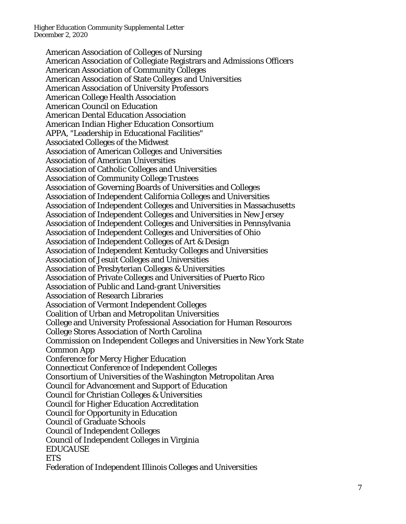American Association of Colleges of Nursing American Association of Collegiate Registrars and Admissions Officers American Association of Community Colleges American Association of State Colleges and Universities American Association of University Professors American College Health Association American Council on Education American Dental Education Association American Indian Higher Education Consortium APPA, "Leadership in Educational Facilities" Associated Colleges of the Midwest Association of American Colleges and Universities Association of American Universities Association of Catholic Colleges and Universities Association of Community College Trustees Association of Governing Boards of Universities and Colleges Association of Independent California Colleges and Universities Association of Independent Colleges and Universities in Massachusetts Association of Independent Colleges and Universities in New Jersey Association of Independent Colleges and Universities in Pennsylvania Association of Independent Colleges and Universities of Ohio Association of Independent Colleges of Art & Design Association of Independent Kentucky Colleges and Universities Association of Jesuit Colleges and Universities Association of Presbyterian Colleges & Universities Association of Private Colleges and Universities of Puerto Rico Association of Public and Land-grant Universities Association of Research Libraries Association of Vermont Independent Colleges Coalition of Urban and Metropolitan Universities College and University Professional Association for Human Resources College Stores Association of North Carolina Commission on Independent Colleges and Universities in New York State Common App Conference for Mercy Higher Education Connecticut Conference of Independent Colleges Consortium of Universities of the Washington Metropolitan Area Council for Advancement and Support of Education Council for Christian Colleges & Universities Council for Higher Education Accreditation Council for Opportunity in Education Council of Graduate Schools Council of Independent Colleges Council of Independent Colleges in Virginia EDUCAUSE **ETS** Federation of Independent Illinois Colleges and Universities